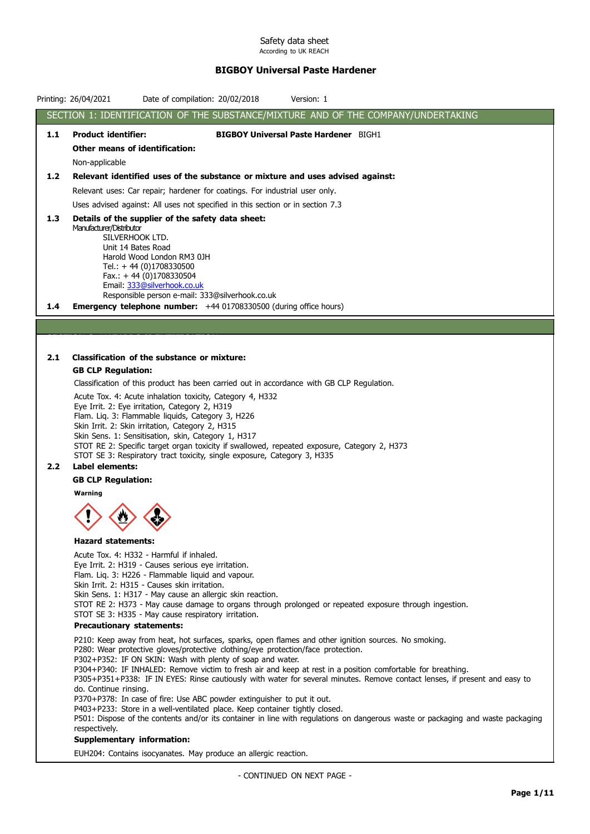# BIGBOY Universal Paste Hardener

|                  | Printing: 26/04/2021<br>Date of compilation: 20/02/2018<br>Version: 1                                                                                                                                                                     |  |
|------------------|-------------------------------------------------------------------------------------------------------------------------------------------------------------------------------------------------------------------------------------------|--|
|                  | SECTION 1: IDENTIFICATION OF THE SUBSTANCE/MIXTURE AND OF THE COMPANY/UNDERTAKING                                                                                                                                                         |  |
| 1.1              | <b>Product identifier:</b><br><b>BIGBOY Universal Paste Hardener</b> BIGH1                                                                                                                                                                |  |
|                  | Other means of identification:                                                                                                                                                                                                            |  |
|                  | Non-applicable                                                                                                                                                                                                                            |  |
| 1.2 <sub>2</sub> | Relevant identified uses of the substance or mixture and uses advised against:                                                                                                                                                            |  |
|                  | Relevant uses: Car repair; hardener for coatings. For industrial user only.                                                                                                                                                               |  |
|                  | Uses advised against: All uses not specified in this section or in section 7.3                                                                                                                                                            |  |
| 1.3              | Details of the supplier of the safety data sheet:                                                                                                                                                                                         |  |
|                  | Manufacturer/Distributor<br>SILVERHOOK LTD.                                                                                                                                                                                               |  |
|                  | Unit 14 Bates Road                                                                                                                                                                                                                        |  |
|                  | Harold Wood London RM3 0JH<br>Tel.: $+ 44 (0)1708330500$                                                                                                                                                                                  |  |
|                  | Fax.: $+44$ (0)1708330504<br>Email: 333@silverhook.co.uk                                                                                                                                                                                  |  |
|                  | Responsible person e-mail: 333@silverhook.co.uk                                                                                                                                                                                           |  |
| 1.4              | <b>Emergency telephone number:</b> +44 01708330500 (during office hours)                                                                                                                                                                  |  |
|                  |                                                                                                                                                                                                                                           |  |
|                  |                                                                                                                                                                                                                                           |  |
| 2.1              | Classification of the substance or mixture:                                                                                                                                                                                               |  |
|                  | <b>GB CLP Regulation:</b>                                                                                                                                                                                                                 |  |
|                  | Classification of this product has been carried out in accordance with GB CLP Regulation.                                                                                                                                                 |  |
|                  | Acute Tox. 4: Acute inhalation toxicity, Category 4, H332<br>Eye Irrit. 2: Eye irritation, Category 2, H319                                                                                                                               |  |
|                  | Flam. Liq. 3: Flammable liquids, Category 3, H226                                                                                                                                                                                         |  |
|                  | Skin Irrit. 2: Skin irritation, Category 2, H315                                                                                                                                                                                          |  |
|                  | Skin Sens. 1: Sensitisation, skin, Category 1, H317<br>STOT RE 2: Specific target organ toxicity if swallowed, repeated exposure, Category 2, H373                                                                                        |  |
|                  | STOT SE 3: Respiratory tract toxicity, single exposure, Category 3, H335                                                                                                                                                                  |  |
| $2.2^{\circ}$    | Label elements:                                                                                                                                                                                                                           |  |
|                  | <b>GB CLP Regulation:</b><br>Warning                                                                                                                                                                                                      |  |
|                  |                                                                                                                                                                                                                                           |  |
|                  |                                                                                                                                                                                                                                           |  |
|                  | <b>Hazard statements:</b>                                                                                                                                                                                                                 |  |
|                  | Acute Tox. 4: H332 - Harmful if inhaled.<br>Eye Irrit. 2: H319 - Causes serious eye irritation.                                                                                                                                           |  |
|                  | Flam. Liq. 3: H226 - Flammable liquid and vapour.                                                                                                                                                                                         |  |
|                  | Skin Irrit. 2: H315 - Causes skin irritation.<br>Skin Sens. 1: H317 - May cause an allergic skin reaction.                                                                                                                                |  |
|                  | STOT RE 2: H373 - May cause damage to organs through prolonged or repeated exposure through ingestion.                                                                                                                                    |  |
|                  | STOT SE 3: H335 - May cause respiratory irritation.                                                                                                                                                                                       |  |
|                  | <b>Precautionary statements:</b>                                                                                                                                                                                                          |  |
|                  | P210: Keep away from heat, hot surfaces, sparks, open flames and other ignition sources. No smoking.<br>P280: Wear protective gloves/protective clothing/eye protection/face protection.                                                  |  |
|                  | P302+P352: IF ON SKIN: Wash with plenty of soap and water.                                                                                                                                                                                |  |
|                  | P304+P340: IF INHALED: Remove victim to fresh air and keep at rest in a position comfortable for breathing.<br>P305+P351+P338: IF IN EYES: Rinse cautiously with water for several minutes. Remove contact lenses, if present and easy to |  |
|                  | do. Continue rinsing.                                                                                                                                                                                                                     |  |
|                  | P370+P378: In case of fire: Use ABC powder extinguisher to put it out.<br>P403+P233: Store in a well-ventilated place. Keep container tightly closed.                                                                                     |  |
|                  | P501: Dispose of the contents and/or its container in line with regulations on dangerous waste or packaging and waste packaging                                                                                                           |  |
|                  | respectively.<br>Supplementary information:                                                                                                                                                                                               |  |
|                  | EUH204: Contains isocyanates. May produce an allergic reaction.                                                                                                                                                                           |  |
|                  |                                                                                                                                                                                                                                           |  |
|                  | - CONTINUED ON NEXT PAGE -                                                                                                                                                                                                                |  |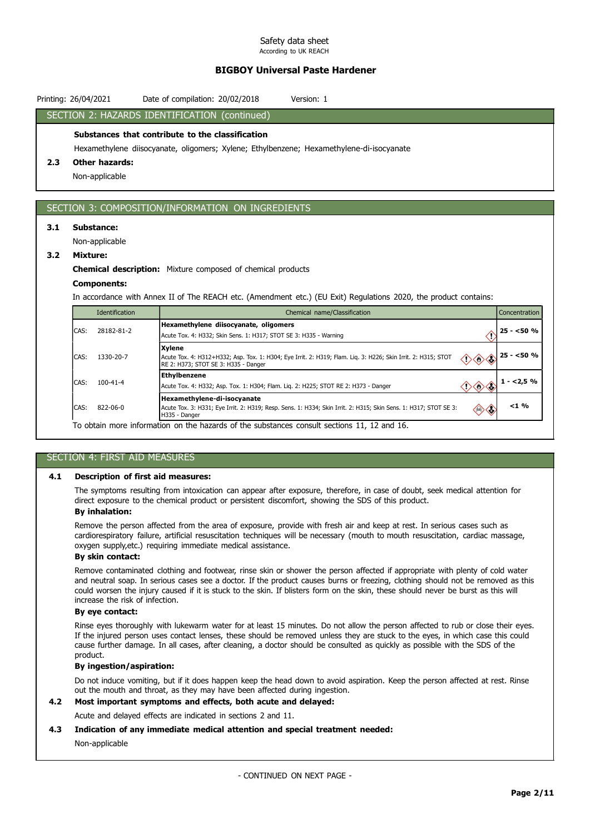# BIGBOY Universal Paste Hardener

|     | Printing: 26/04/2021                    | Date of compilation: 20/02/2018<br>Version: 1                                                                                                                          |               |
|-----|-----------------------------------------|------------------------------------------------------------------------------------------------------------------------------------------------------------------------|---------------|
|     |                                         | SECTION 2: HAZARDS IDENTIFICATION (continued)                                                                                                                          |               |
| 2.3 | <b>Other hazards:</b><br>Non-applicable | Substances that contribute to the classification<br>Hexamethylene diisocyanate, oligomers; Xylene; Ethylbenzene; Hexamethylene-di-isocyanate                           |               |
|     |                                         | SECTION 3: COMPOSITION/INFORMATION ON INGREDIENTS                                                                                                                      |               |
| 3.1 | Substance:                              |                                                                                                                                                                        |               |
|     | Non-applicable                          |                                                                                                                                                                        |               |
| 3.2 | <b>Mixture:</b>                         |                                                                                                                                                                        |               |
|     |                                         | <b>Chemical description:</b> Mixture composed of chemical products                                                                                                     |               |
|     | <b>Components:</b>                      |                                                                                                                                                                        |               |
|     |                                         | In accordance with Annex II of The REACH etc. (Amendment etc.) (EU Exit) Regulations 2020, the product contains:                                                       |               |
|     | Identification                          | Chemical name/Classification                                                                                                                                           | Concentration |
|     | CAS: 28182-81-2                         | Hexamethylene diisocyanate, oligomers<br>€<br>Acute Tox. 4: H332; Skin Sens. 1: H317; STOT SE 3: H335 - Warning                                                        | $25 - 50 %$   |
|     | 1330-20-7<br>CAS:                       | <b>Xylene</b><br>Acute Tox. 4: H312+H332; Asp. Tox. 1: H304; Eye Irrit. 2: H319; Flam. Liq. 3: H226; Skin Irrit. 2: H315; STOT<br>RE 2: H373; STOT SE 3: H335 - Danger | $25 - 50%$    |
|     | 100-41-4<br>CAS:                        | Ethylbenzene<br>$\diamondsuit \diamondsuit \diamondsuit$<br>Acute Tox. 4: H332; Asp. Tox. 1: H304; Flam. Liq. 2: H225; STOT RE 2: H373 - Danger                        | $1 - 2,5%$    |
|     | 822-06-0<br>CAS:                        | Hexamethylene-di-isocyanate<br>Acute Tox. 3: H331; Eye Irrit. 2: H319; Resp. Sens. 1: H334; Skin Irrit. 2: H315; Skin Sens. 1: H317; STOT SE 3:<br>◈◇<br>H335 - Danger | $< 1 \%$      |
|     |                                         | To obtain more information on the hazards of the substances consult sections 11, 12 and 16.                                                                            |               |

# SECTION 4: FIRST AID MEASURES

### 4.1 Description of first aid measures:

The symptoms resulting from intoxication can appear after exposure, therefore, in case of doubt, seek medical attention for direct exposure to the chemical product or persistent discomfort, showing the SDS of this product.

### By inhalation:

Remove the person affected from the area of exposure, provide with fresh air and keep at rest. In serious cases such as cardiorespiratory failure, artificial resuscitation techniques will be necessary (mouth to mouth resuscitation, cardiac massage, oxygen supply,etc.) requiring immediate medical assistance.

### By skin contact:

Remove contaminated clothing and footwear, rinse skin or shower the person affected if appropriate with plenty of cold water and neutral soap. In serious cases see a doctor. If the product causes burns or freezing, clothing should not be removed as this could worsen the injury caused if it is stuck to the skin. If blisters form on the skin, these should never be burst as this will increase the risk of infection.

# By eye contact:

Rinse eyes thoroughly with lukewarm water for at least 15 minutes. Do not allow the person affected to rub or close their eyes. If the injured person uses contact lenses, these should be removed unless they are stuck to the eyes, in which case this could cause further damage. In all cases, after cleaning, a doctor should be consulted as quickly as possible with the SDS of the product.

### By ingestion/aspiration:

Do not induce vomiting, but if it does happen keep the head down to avoid aspiration. Keep the person affected at rest. Rinse out the mouth and throat, as they may have been affected during ingestion.

## 4.2 Most important symptoms and effects, both acute and delayed:

Acute and delayed effects are indicated in sections 2 and 11.

### 4.3 Indication of any immediate medical attention and special treatment needed:

### Non-applicable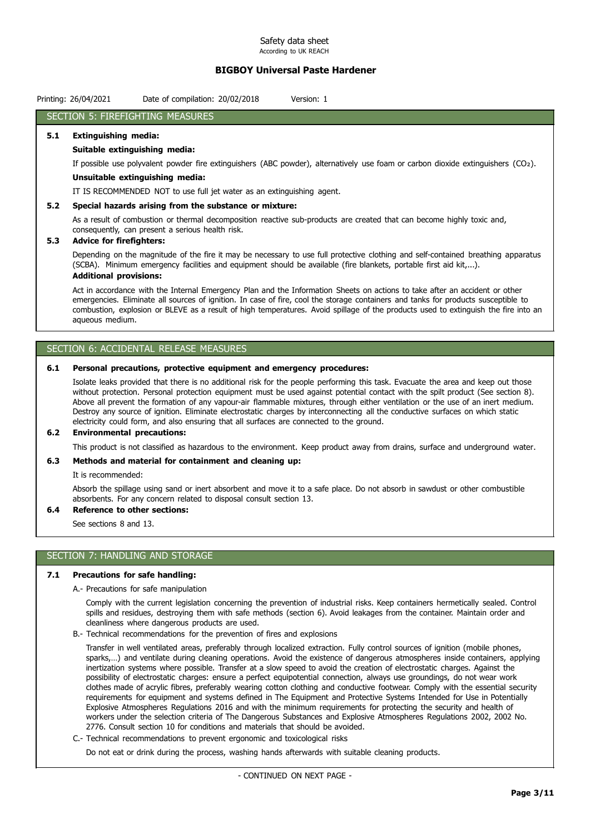# BIGBOY Universal Paste Hardener

| Date of compilation: 20/02/2018<br>Printing: 26/04/2021<br>Version: 1 |
|-----------------------------------------------------------------------|
|-----------------------------------------------------------------------|

### SECTION 5: FIREFIGHTING MEASURES

#### 5.1 Extinguishing media:

### Suitable extinguishing media:

If possible use polyvalent powder fire extinguishers (ABC powder), alternatively use foam or carbon dioxide extinguishers (CO₂).

#### Unsuitable extinguishing media:

IT IS RECOMMENDED NOT to use full jet water as an extinguishing agent.

#### 5.2 Special hazards arising from the substance or mixture:

As a result of combustion or thermal decomposition reactive sub-products are created that can become highly toxic and, consequently, can present a serious health risk.

### 5.3 Advice for firefighters:

Depending on the magnitude of the fire it may be necessary to use full protective clothing and self-contained breathing apparatus (SCBA). Minimum emergency facilities and equipment should be available (fire blankets, portable first aid kit,...).

## Additional provisions:

Act in accordance with the Internal Emergency Plan and the Information Sheets on actions to take after an accident or other emergencies. Eliminate all sources of ignition. In case of fire, cool the storage containers and tanks for products susceptible to combustion, explosion or BLEVE as a result of high temperatures. Avoid spillage of the products used to extinguish the fire into an aqueous medium.

# SECTION 6: ACCIDENTAL RELEASE MEASURES

#### 6.1 Personal precautions, protective equipment and emergency procedures:

Isolate leaks provided that there is no additional risk for the people performing this task. Evacuate the area and keep out those without protection. Personal protection equipment must be used against potential contact with the spilt product (See section 8). Above all prevent the formation of any vapour-air flammable mixtures, through either ventilation or the use of an inert medium. Destroy any source of ignition. Eliminate electrostatic charges by interconnecting all the conductive surfaces on which static electricity could form, and also ensuring that all surfaces are connected to the ground.

## 6.2 Environmental precautions:

This product is not classified as hazardous to the environment. Keep product away from drains, surface and underground water.

#### 6.3 Methods and material for containment and cleaning up:

It is recommended:

Absorb the spillage using sand or inert absorbent and move it to a safe place. Do not absorb in sawdust or other combustible absorbents. For any concern related to disposal consult section 13.

### 6.4 Reference to other sections:

See sections 8 and 13.

#### SECTION 7: HANDLING AND STORAGE

#### 7.1 Precautions for safe handling:

A.- Precautions for safe manipulation

Comply with the current legislation concerning the prevention of industrial risks. Keep containers hermetically sealed. Control spills and residues, destroying them with safe methods (section 6). Avoid leakages from the container. Maintain order and cleanliness where dangerous products are used.

B.- Technical recommendations for the prevention of fires and explosions

Transfer in well ventilated areas, preferably through localized extraction. Fully control sources of ignition (mobile phones, sparks,…) and ventilate during cleaning operations. Avoid the existence of dangerous atmospheres inside containers, applying inertization systems where possible. Transfer at a slow speed to avoid the creation of electrostatic charges. Against the possibility of electrostatic charges: ensure a perfect equipotential connection, always use groundings, do not wear work clothes made of acrylic fibres, preferably wearing cotton clothing and conductive footwear. Comply with the essential security requirements for equipment and systems defined in The Equipment and Protective Systems Intended for Use in Potentially Explosive Atmospheres Regulations 2016 and with the minimum requirements for protecting the security and health of workers under the selection criteria of The Dangerous Substances and Explosive Atmospheres Regulations 2002, 2002 No. 2776. Consult section 10 for conditions and materials that should be avoided.

C.- Technical recommendations to prevent ergonomic and toxicological risks

Do not eat or drink during the process, washing hands afterwards with suitable cleaning products.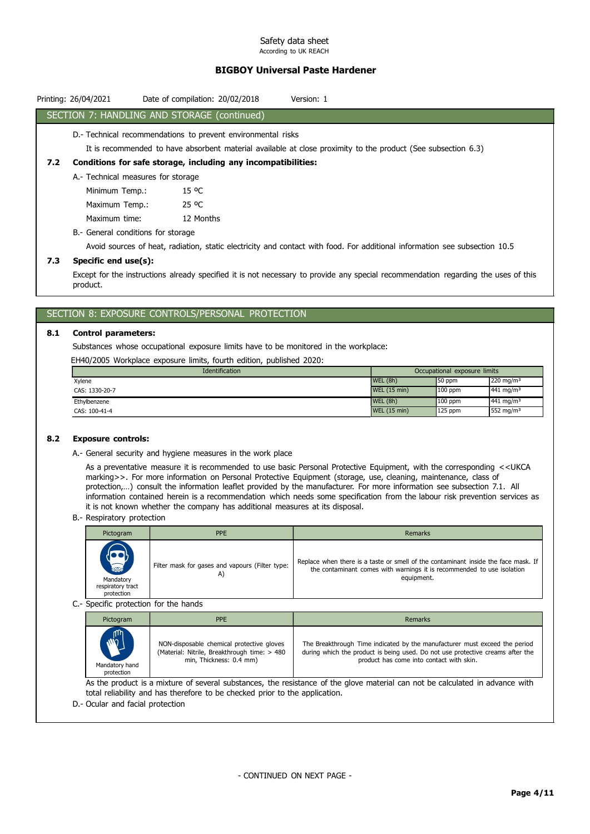# BIGBOY Universal Paste Hardener

|     | Printing: 26/04/2021               | Date of compilation: 20/02/2018<br>Version: 1                                                                 |
|-----|------------------------------------|---------------------------------------------------------------------------------------------------------------|
|     |                                    | SECTION 7: HANDLING AND STORAGE (continued)                                                                   |
|     |                                    | D.- Technical recommendations to prevent environmental risks                                                  |
|     |                                    | It is recommended to have absorbent material available at close proximity to the product (See subsection 6.3) |
| 7.2 |                                    | Conditions for safe storage, including any incompatibilities:                                                 |
|     | A.- Technical measures for storage |                                                                                                               |
|     | Minimum Temp.:                     | 15 °C                                                                                                         |
|     | Maximum Temp.:                     | 25 °C                                                                                                         |
|     | Maximum time:                      | 12 Months                                                                                                     |
|     | B.- General conditions for storage |                                                                                                               |

Avoid sources of heat, radiation, static electricity and contact with food. For additional information see subsection 10.5

### 7.3 Specific end use(s):

Except for the instructions already specified it is not necessary to provide any special recommendation regarding the uses of this product.

## SECTION 8: EXPOSURE CONTROLS/PERSONAL PROTECTION

### 8.1 Control parameters:

Substances whose occupational exposure limits have to be monitored in the workplace:

EH40/2005 Workplace exposure limits, fourth edition, published 2020:

| <b>Identification</b> |                     | Occupational exposure limits |                         |
|-----------------------|---------------------|------------------------------|-------------------------|
| Xylene                | WEL(8h)             | 50 ppm                       | 220 mg/m <sup>3</sup>   |
| CAS: 1330-20-7        | <b>WEL (15 min)</b> | $100$ ppm                    | $441$ mg/m <sup>3</sup> |
| Ethylbenzene          | WEL(8h)             | $100$ ppm                    | $441 \text{ mg/m}^3$    |
| CAS: 100-41-4         | <b>WEL (15 min)</b> | $125$ ppm                    | 552 mg/m <sup>3</sup>   |

#### 8.2 Exposure controls:

A.- General security and hygiene measures in the work place

As a preventative measure it is recommended to use basic Personal Protective Equipment, with the corresponding <<UKCA marking>>. For more information on Personal Protective Equipment (storage, use, cleaning, maintenance, class of protection,…) consult the information leaflet provided by the manufacturer. For more information see subsection 7.1. All information contained herein is a recommendation which needs some specification from the labour risk prevention services as it is not known whether the company has additional measures at its disposal.

B.- Respiratory protection

| Pictogram                                                        | <b>PPE</b>                                      | Remarks                                                                                                                                                                    |
|------------------------------------------------------------------|-------------------------------------------------|----------------------------------------------------------------------------------------------------------------------------------------------------------------------------|
| $\sum_{n=1}^{n}$<br>Mandatory<br>respiratory tract<br>protection | Filter mask for gases and vapours (Filter type: | Replace when there is a taste or smell of the contaminant inside the face mask. If<br>the contaminant comes with warnings it is recommended to use isolation<br>equipment. |
| C.- Specific protection for the hands                            |                                                 |                                                                                                                                                                            |
|                                                                  |                                                 |                                                                                                                                                                            |

| Pictogram      | PPE                                          | <b>Remarks</b>                                                                 |  |
|----------------|----------------------------------------------|--------------------------------------------------------------------------------|--|
| <b>MAD</b>     | NON-disposable chemical protective gloves    | The Breakthrough Time indicated by the manufacturer must exceed the period     |  |
| Mandatory hand | (Material: Nitrile, Breakthrough time: > 480 | during which the product is being used. Do not use protective creams after the |  |
| protection     | min, Thickness: 0.4 mm)                      | product has come into contact with skin.                                       |  |

As the product is a mixture of several substances, the resistance of the glove material can not be calculated in advance with total reliability and has therefore to be checked prior to the application.

D.- Ocular and facial protection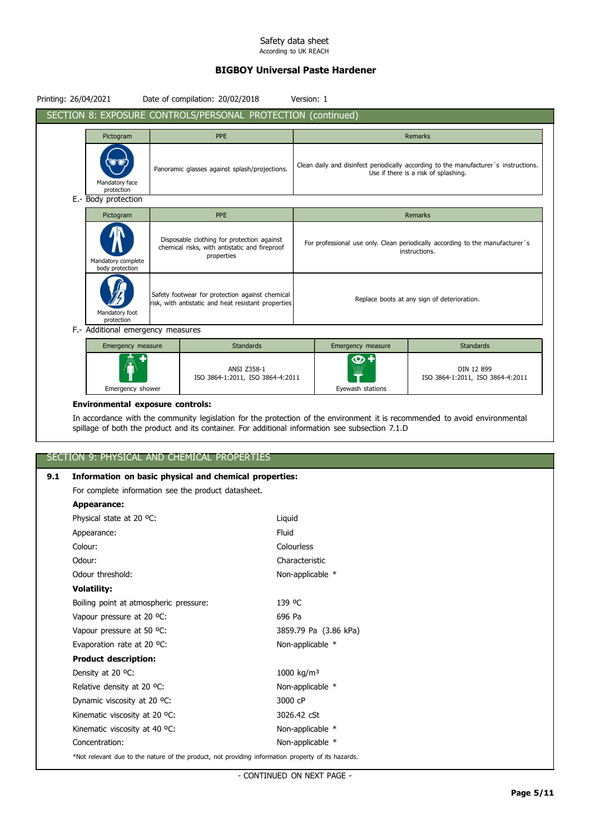# BIGBOY Universal Paste Hardener

| Printing: 26/04/2021                  | Date of compilation: 20/02/2018                                                                           | Version: 1 |                        |                                                                                                                              |
|---------------------------------------|-----------------------------------------------------------------------------------------------------------|------------|------------------------|------------------------------------------------------------------------------------------------------------------------------|
|                                       | SECTION 8: EXPOSURE CONTROLS/PERSONAL PROTECTION (continued)                                              |            |                        |                                                                                                                              |
| Pictogram                             | <b>PPE</b>                                                                                                |            |                        | Remarks                                                                                                                      |
| Mandatory face<br>protection          | Panoramic glasses against splash/projections.                                                             |            |                        | Clean daily and disinfect periodically according to the manufacturer's instructions.<br>Use if there is a risk of splashing. |
| E.- Body protection                   |                                                                                                           |            |                        |                                                                                                                              |
| Pictogram                             | <b>PPE</b>                                                                                                |            |                        | Remarks                                                                                                                      |
| Mandatory complete<br>body protection | Disposable clothing for protection against<br>chemical risks, with antistatic and fireproof<br>properties |            |                        | For professional use only. Clean periodically according to the manufacturer's<br>instructions.                               |
| Mandatory foot<br>protection          | Safety footwear for protection against chemical<br>risk, with antistatic and heat resistant properties    |            |                        | Replace boots at any sign of deterioration.                                                                                  |
| F.- Additional emergency measures     |                                                                                                           |            |                        |                                                                                                                              |
| Emergency measure                     | <b>Standards</b>                                                                                          |            | Emergency measure      | <b>Standards</b>                                                                                                             |
| Emergency shower                      | ANSI Z358-1<br>ISO 3864-1:2011, ISO 3864-4:2011                                                           |            | ை+<br>Eyewash stations | DIN 12 899<br>ISO 3864-1:2011, ISO 3864-4:2011                                                                               |

### Environmental exposure controls:

In accordance with the community legislation for the protection of the environment it is recommended to avoid environmental spillage of both the product and its container. For additional information see subsection 7.1.D

# SECTION 9: PHYSICAL AND CHEMICAL PROPERTIES

# 9.1 Information on basic physical and chemical properties:

For complete information see the product datasheet.

| Appearance:                                                                                        |                        |
|----------------------------------------------------------------------------------------------------|------------------------|
| Physical state at 20 °C:                                                                           | Liquid                 |
| Appearance:                                                                                        | Fluid                  |
| Colour:                                                                                            | Colourless             |
| Odour:                                                                                             | Characteristic         |
| Odour threshold:                                                                                   | Non-applicable *       |
| <b>Volatility:</b>                                                                                 |                        |
| Boiling point at atmospheric pressure:                                                             | 139 °C                 |
| Vapour pressure at 20 °C:                                                                          | 696 Pa                 |
| Vapour pressure at 50 °C:                                                                          | 3859.79 Pa (3.86 kPa)  |
| Evaporation rate at 20 °C:                                                                         | Non-applicable *       |
| <b>Product description:</b>                                                                        |                        |
| Density at 20 °C:                                                                                  | 1000 kg/m <sup>3</sup> |
| Relative density at 20 °C:                                                                         | Non-applicable *       |
| Dynamic viscosity at 20 °C:                                                                        | 3000 cP                |
| Kinematic viscosity at 20 °C:                                                                      | 3026.42 cSt            |
| Kinematic viscosity at 40 °C:                                                                      | Non-applicable *       |
| Concentration:                                                                                     | Non-applicable *       |
| *Not relevant due to the nature of the product, not providing information property of its hazards. |                        |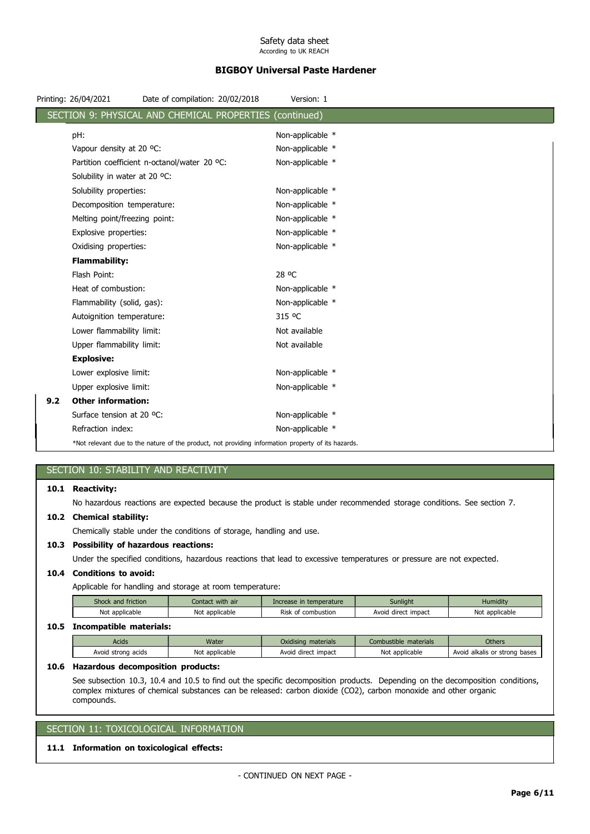# BIGBOY Universal Paste Hardener

|     | Printing: 26/04/2021          | Date of compilation: 20/02/2018                                                                    | Version: 1       |  |
|-----|-------------------------------|----------------------------------------------------------------------------------------------------|------------------|--|
|     |                               | SECTION 9: PHYSICAL AND CHEMICAL PROPERTIES                                                        | (continued)      |  |
|     | pH:                           |                                                                                                    | Non-applicable * |  |
|     | Vapour density at 20 °C:      |                                                                                                    | Non-applicable * |  |
|     |                               | Partition coefficient n-octanol/water 20 °C:                                                       | Non-applicable * |  |
|     | Solubility in water at 20 °C: |                                                                                                    |                  |  |
|     | Solubility properties:        |                                                                                                    | Non-applicable * |  |
|     | Decomposition temperature:    |                                                                                                    | Non-applicable * |  |
|     | Melting point/freezing point: |                                                                                                    | Non-applicable * |  |
|     | Explosive properties:         |                                                                                                    | Non-applicable * |  |
|     | Oxidising properties:         |                                                                                                    | Non-applicable * |  |
|     | <b>Flammability:</b>          |                                                                                                    |                  |  |
|     | Flash Point:                  |                                                                                                    | 28 °C            |  |
|     | Heat of combustion:           |                                                                                                    | Non-applicable * |  |
|     | Flammability (solid, gas):    |                                                                                                    | Non-applicable * |  |
|     | Autoignition temperature:     |                                                                                                    | 315 °C           |  |
|     | Lower flammability limit:     |                                                                                                    | Not available    |  |
|     | Upper flammability limit:     |                                                                                                    | Not available    |  |
|     | <b>Explosive:</b>             |                                                                                                    |                  |  |
|     | Lower explosive limit:        |                                                                                                    | Non-applicable * |  |
|     | Upper explosive limit:        |                                                                                                    | Non-applicable * |  |
| 9.2 | <b>Other information:</b>     |                                                                                                    |                  |  |
|     | Surface tension at 20 °C:     |                                                                                                    | Non-applicable * |  |
|     | Refraction index:             |                                                                                                    | Non-applicable * |  |
|     |                               | *Not relevant due to the nature of the product, not providing information property of its hazards. |                  |  |

# SECTION 10: STABILITY AND REACTIVITY

#### 10.1 Reactivity:

No hazardous reactions are expected because the product is stable under recommended storage conditions. See section 7.

### 10.2 Chemical stability:

Chemically stable under the conditions of storage, handling and use.

### 10.3 Possibility of hazardous reactions:

Under the specified conditions, hazardous reactions that lead to excessive temperatures or pressure are not expected.

## 10.4 Conditions to avoid:

Applicable for handling and storage at room temperature:

| Shock and friction | Contact with air | Increase in temperature | Sunlight            | Humidity       |
|--------------------|------------------|-------------------------|---------------------|----------------|
| Not applicable     | Not applicable   | Risk<br>f combustion    | Avoid direct impact | Not applicable |
|                    |                  |                         |                     |                |

# 10.5 Incompatible materials:

| <b>Others</b><br>Combustible materials<br>Water<br>Oxidising materials<br>Acids                                    |
|--------------------------------------------------------------------------------------------------------------------|
| Not applicable<br>No<br>: applicable<br>Avoid alkalis or strong bases<br>Avoid direct impact<br>Avoid strong acids |

# 10.6 Hazardous decomposition products:

See subsection 10.3, 10.4 and 10.5 to find out the specific decomposition products. Depending on the decomposition conditions, complex mixtures of chemical substances can be released: carbon dioxide (CO2), carbon monoxide and other organic compounds.

# SECTION 11: TOXICOLOGICAL INFORMATION

## 11.1 Information on toxicological effects: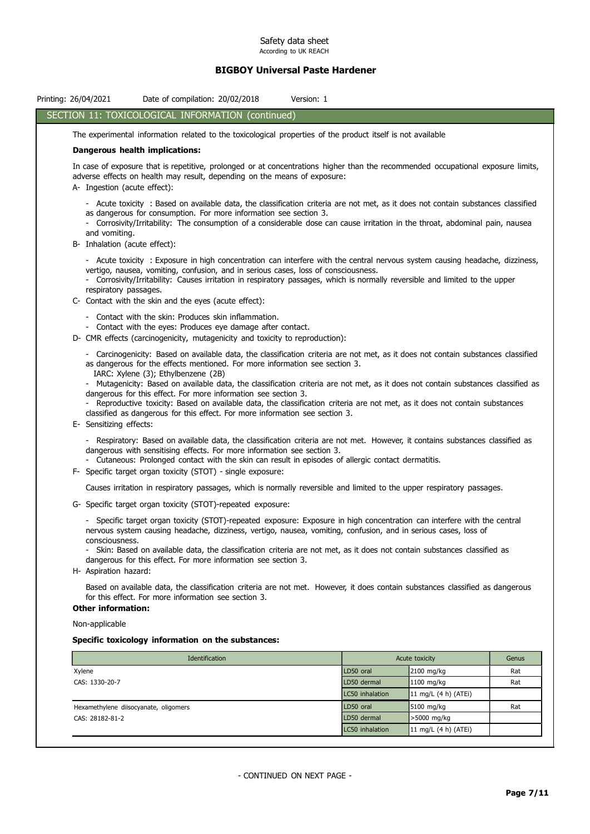# BIGBOY Universal Paste Hardener

| SECTION 11: TOXICOLOGICAL INFORMATION (continued)<br>The experimental information related to the toxicological properties of the product itself is not available<br>Dangerous health implications:<br>In case of exposure that is repetitive, prolonged or at concentrations higher than the recommended occupational exposure limits,<br>adverse effects on health may result, depending on the means of exposure:<br>A- Ingestion (acute effect):<br>- Acute toxicity : Based on available data, the classification criteria are not met, as it does not contain substances classified<br>as dangerous for consumption. For more information see section 3.<br>- Corrosivity/Irritability: The consumption of a considerable dose can cause irritation in the throat, abdominal pain, nausea<br>and vomiting.<br>B- Inhalation (acute effect):<br>- Acute toxicity : Exposure in high concentration can interfere with the central nervous system causing headache, dizziness,<br>vertigo, nausea, vomiting, confusion, and in serious cases, loss of consciousness.<br>- Corrosivity/Irritability: Causes irritation in respiratory passages, which is normally reversible and limited to the upper<br>respiratory passages.<br>C- Contact with the skin and the eyes (acute effect):<br>- Contact with the skin: Produces skin inflammation.<br>- Contact with the eyes: Produces eye damage after contact.<br>D- CMR effects (carcinogenicity, mutagenicity and toxicity to reproduction):<br>- Carcinogenicity: Based on available data, the classification criteria are not met, as it does not contain substances classified<br>as dangerous for the effects mentioned. For more information see section 3.<br>IARC: Xylene (3); Ethylbenzene (2B)<br>- Mutagenicity: Based on available data, the classification criteria are not met, as it does not contain substances classified as<br>dangerous for this effect. For more information see section 3.<br>- Reproductive toxicity: Based on available data, the classification criteria are not met, as it does not contain substances<br>classified as dangerous for this effect. For more information see section 3.<br>E- Sensitizing effects:<br>- Respiratory: Based on available data, the classification criteria are not met. However, it contains substances classified as<br>dangerous with sensitising effects. For more information see section 3.<br>- Cutaneous: Prolonged contact with the skin can result in episodes of allergic contact dermatitis.<br>F- Specific target organ toxicity (STOT) - single exposure:<br>Causes irritation in respiratory passages, which is normally reversible and limited to the upper respiratory passages.<br>G- Specific target organ toxicity (STOT)-repeated exposure:<br>Specific target organ toxicity (STOT)-repeated exposure: Exposure in high concentration can interfere with the central<br>nervous system causing headache, dizziness, vertigo, nausea, vomiting, confusion, and in serious cases, loss of<br>consciousness.<br>- Skin: Based on available data, the classification criteria are not met, as it does not contain substances classified as<br>dangerous for this effect. For more information see section 3.<br>H- Aspiration hazard:<br>Based on available data, the classification criteria are not met. However, it does contain substances classified as dangerous<br>for this effect. For more information see section 3.<br><b>Other information:</b><br>Non-applicable<br>Specific toxicology information on the substances:<br>Identification<br>Acute toxicity<br>Genus<br>LD50 oral<br>2100 mg/kg<br>Rat<br>Xylene<br>LD50 dermal<br>1100 mg/kg<br>Rat<br>CAS: 1330-20-7<br>LC50 inhalation<br>11 mg/L (4 h) (ATEi)<br>LD50 oral<br>5100 mg/kg<br>Hexamethylene diisocyanate, oligomers<br>Rat<br>LD50 dermal<br>>5000 mg/kg<br>CAS: 28182-81-2 | Printing: 26/04/2021 | Date of compilation: 20/02/2018 | Version: 1 |                 |                      |  |
|-----------------------------------------------------------------------------------------------------------------------------------------------------------------------------------------------------------------------------------------------------------------------------------------------------------------------------------------------------------------------------------------------------------------------------------------------------------------------------------------------------------------------------------------------------------------------------------------------------------------------------------------------------------------------------------------------------------------------------------------------------------------------------------------------------------------------------------------------------------------------------------------------------------------------------------------------------------------------------------------------------------------------------------------------------------------------------------------------------------------------------------------------------------------------------------------------------------------------------------------------------------------------------------------------------------------------------------------------------------------------------------------------------------------------------------------------------------------------------------------------------------------------------------------------------------------------------------------------------------------------------------------------------------------------------------------------------------------------------------------------------------------------------------------------------------------------------------------------------------------------------------------------------------------------------------------------------------------------------------------------------------------------------------------------------------------------------------------------------------------------------------------------------------------------------------------------------------------------------------------------------------------------------------------------------------------------------------------------------------------------------------------------------------------------------------------------------------------------------------------------------------------------------------------------------------------------------------------------------------------------------------------------------------------------------------------------------------------------------------------------------------------------------------------------------------------------------------------------------------------------------------------------------------------------------------------------------------------------------------------------------------------------------------------------------------------------------------------------------------------------------------------------------------------------------------------------------------------------------------------------------------------------------------------------------------------------------------------------------------------------------------------------------------------------------------------------------------------------------------------------------------------------------------------------------------------------------------------------------------------------------------------------------------------------------------------------------------------------------------------------------------------------------------------------------------------------------------------------------------------------------------------------------|----------------------|---------------------------------|------------|-----------------|----------------------|--|
|                                                                                                                                                                                                                                                                                                                                                                                                                                                                                                                                                                                                                                                                                                                                                                                                                                                                                                                                                                                                                                                                                                                                                                                                                                                                                                                                                                                                                                                                                                                                                                                                                                                                                                                                                                                                                                                                                                                                                                                                                                                                                                                                                                                                                                                                                                                                                                                                                                                                                                                                                                                                                                                                                                                                                                                                                                                                                                                                                                                                                                                                                                                                                                                                                                                                                                                                                                                                                                                                                                                                                                                                                                                                                                                                                                                                                                                                                                     |                      |                                 |            |                 |                      |  |
|                                                                                                                                                                                                                                                                                                                                                                                                                                                                                                                                                                                                                                                                                                                                                                                                                                                                                                                                                                                                                                                                                                                                                                                                                                                                                                                                                                                                                                                                                                                                                                                                                                                                                                                                                                                                                                                                                                                                                                                                                                                                                                                                                                                                                                                                                                                                                                                                                                                                                                                                                                                                                                                                                                                                                                                                                                                                                                                                                                                                                                                                                                                                                                                                                                                                                                                                                                                                                                                                                                                                                                                                                                                                                                                                                                                                                                                                                                     |                      |                                 |            |                 |                      |  |
|                                                                                                                                                                                                                                                                                                                                                                                                                                                                                                                                                                                                                                                                                                                                                                                                                                                                                                                                                                                                                                                                                                                                                                                                                                                                                                                                                                                                                                                                                                                                                                                                                                                                                                                                                                                                                                                                                                                                                                                                                                                                                                                                                                                                                                                                                                                                                                                                                                                                                                                                                                                                                                                                                                                                                                                                                                                                                                                                                                                                                                                                                                                                                                                                                                                                                                                                                                                                                                                                                                                                                                                                                                                                                                                                                                                                                                                                                                     |                      |                                 |            |                 |                      |  |
|                                                                                                                                                                                                                                                                                                                                                                                                                                                                                                                                                                                                                                                                                                                                                                                                                                                                                                                                                                                                                                                                                                                                                                                                                                                                                                                                                                                                                                                                                                                                                                                                                                                                                                                                                                                                                                                                                                                                                                                                                                                                                                                                                                                                                                                                                                                                                                                                                                                                                                                                                                                                                                                                                                                                                                                                                                                                                                                                                                                                                                                                                                                                                                                                                                                                                                                                                                                                                                                                                                                                                                                                                                                                                                                                                                                                                                                                                                     |                      |                                 |            |                 |                      |  |
|                                                                                                                                                                                                                                                                                                                                                                                                                                                                                                                                                                                                                                                                                                                                                                                                                                                                                                                                                                                                                                                                                                                                                                                                                                                                                                                                                                                                                                                                                                                                                                                                                                                                                                                                                                                                                                                                                                                                                                                                                                                                                                                                                                                                                                                                                                                                                                                                                                                                                                                                                                                                                                                                                                                                                                                                                                                                                                                                                                                                                                                                                                                                                                                                                                                                                                                                                                                                                                                                                                                                                                                                                                                                                                                                                                                                                                                                                                     |                      |                                 |            |                 |                      |  |
|                                                                                                                                                                                                                                                                                                                                                                                                                                                                                                                                                                                                                                                                                                                                                                                                                                                                                                                                                                                                                                                                                                                                                                                                                                                                                                                                                                                                                                                                                                                                                                                                                                                                                                                                                                                                                                                                                                                                                                                                                                                                                                                                                                                                                                                                                                                                                                                                                                                                                                                                                                                                                                                                                                                                                                                                                                                                                                                                                                                                                                                                                                                                                                                                                                                                                                                                                                                                                                                                                                                                                                                                                                                                                                                                                                                                                                                                                                     |                      |                                 |            |                 |                      |  |
|                                                                                                                                                                                                                                                                                                                                                                                                                                                                                                                                                                                                                                                                                                                                                                                                                                                                                                                                                                                                                                                                                                                                                                                                                                                                                                                                                                                                                                                                                                                                                                                                                                                                                                                                                                                                                                                                                                                                                                                                                                                                                                                                                                                                                                                                                                                                                                                                                                                                                                                                                                                                                                                                                                                                                                                                                                                                                                                                                                                                                                                                                                                                                                                                                                                                                                                                                                                                                                                                                                                                                                                                                                                                                                                                                                                                                                                                                                     |                      |                                 |            |                 |                      |  |
|                                                                                                                                                                                                                                                                                                                                                                                                                                                                                                                                                                                                                                                                                                                                                                                                                                                                                                                                                                                                                                                                                                                                                                                                                                                                                                                                                                                                                                                                                                                                                                                                                                                                                                                                                                                                                                                                                                                                                                                                                                                                                                                                                                                                                                                                                                                                                                                                                                                                                                                                                                                                                                                                                                                                                                                                                                                                                                                                                                                                                                                                                                                                                                                                                                                                                                                                                                                                                                                                                                                                                                                                                                                                                                                                                                                                                                                                                                     |                      |                                 |            |                 |                      |  |
|                                                                                                                                                                                                                                                                                                                                                                                                                                                                                                                                                                                                                                                                                                                                                                                                                                                                                                                                                                                                                                                                                                                                                                                                                                                                                                                                                                                                                                                                                                                                                                                                                                                                                                                                                                                                                                                                                                                                                                                                                                                                                                                                                                                                                                                                                                                                                                                                                                                                                                                                                                                                                                                                                                                                                                                                                                                                                                                                                                                                                                                                                                                                                                                                                                                                                                                                                                                                                                                                                                                                                                                                                                                                                                                                                                                                                                                                                                     |                      |                                 |            |                 |                      |  |
|                                                                                                                                                                                                                                                                                                                                                                                                                                                                                                                                                                                                                                                                                                                                                                                                                                                                                                                                                                                                                                                                                                                                                                                                                                                                                                                                                                                                                                                                                                                                                                                                                                                                                                                                                                                                                                                                                                                                                                                                                                                                                                                                                                                                                                                                                                                                                                                                                                                                                                                                                                                                                                                                                                                                                                                                                                                                                                                                                                                                                                                                                                                                                                                                                                                                                                                                                                                                                                                                                                                                                                                                                                                                                                                                                                                                                                                                                                     |                      |                                 |            |                 |                      |  |
|                                                                                                                                                                                                                                                                                                                                                                                                                                                                                                                                                                                                                                                                                                                                                                                                                                                                                                                                                                                                                                                                                                                                                                                                                                                                                                                                                                                                                                                                                                                                                                                                                                                                                                                                                                                                                                                                                                                                                                                                                                                                                                                                                                                                                                                                                                                                                                                                                                                                                                                                                                                                                                                                                                                                                                                                                                                                                                                                                                                                                                                                                                                                                                                                                                                                                                                                                                                                                                                                                                                                                                                                                                                                                                                                                                                                                                                                                                     |                      |                                 |            |                 |                      |  |
|                                                                                                                                                                                                                                                                                                                                                                                                                                                                                                                                                                                                                                                                                                                                                                                                                                                                                                                                                                                                                                                                                                                                                                                                                                                                                                                                                                                                                                                                                                                                                                                                                                                                                                                                                                                                                                                                                                                                                                                                                                                                                                                                                                                                                                                                                                                                                                                                                                                                                                                                                                                                                                                                                                                                                                                                                                                                                                                                                                                                                                                                                                                                                                                                                                                                                                                                                                                                                                                                                                                                                                                                                                                                                                                                                                                                                                                                                                     |                      |                                 |            |                 |                      |  |
|                                                                                                                                                                                                                                                                                                                                                                                                                                                                                                                                                                                                                                                                                                                                                                                                                                                                                                                                                                                                                                                                                                                                                                                                                                                                                                                                                                                                                                                                                                                                                                                                                                                                                                                                                                                                                                                                                                                                                                                                                                                                                                                                                                                                                                                                                                                                                                                                                                                                                                                                                                                                                                                                                                                                                                                                                                                                                                                                                                                                                                                                                                                                                                                                                                                                                                                                                                                                                                                                                                                                                                                                                                                                                                                                                                                                                                                                                                     |                      |                                 |            |                 |                      |  |
|                                                                                                                                                                                                                                                                                                                                                                                                                                                                                                                                                                                                                                                                                                                                                                                                                                                                                                                                                                                                                                                                                                                                                                                                                                                                                                                                                                                                                                                                                                                                                                                                                                                                                                                                                                                                                                                                                                                                                                                                                                                                                                                                                                                                                                                                                                                                                                                                                                                                                                                                                                                                                                                                                                                                                                                                                                                                                                                                                                                                                                                                                                                                                                                                                                                                                                                                                                                                                                                                                                                                                                                                                                                                                                                                                                                                                                                                                                     |                      |                                 |            |                 |                      |  |
|                                                                                                                                                                                                                                                                                                                                                                                                                                                                                                                                                                                                                                                                                                                                                                                                                                                                                                                                                                                                                                                                                                                                                                                                                                                                                                                                                                                                                                                                                                                                                                                                                                                                                                                                                                                                                                                                                                                                                                                                                                                                                                                                                                                                                                                                                                                                                                                                                                                                                                                                                                                                                                                                                                                                                                                                                                                                                                                                                                                                                                                                                                                                                                                                                                                                                                                                                                                                                                                                                                                                                                                                                                                                                                                                                                                                                                                                                                     |                      |                                 |            |                 |                      |  |
|                                                                                                                                                                                                                                                                                                                                                                                                                                                                                                                                                                                                                                                                                                                                                                                                                                                                                                                                                                                                                                                                                                                                                                                                                                                                                                                                                                                                                                                                                                                                                                                                                                                                                                                                                                                                                                                                                                                                                                                                                                                                                                                                                                                                                                                                                                                                                                                                                                                                                                                                                                                                                                                                                                                                                                                                                                                                                                                                                                                                                                                                                                                                                                                                                                                                                                                                                                                                                                                                                                                                                                                                                                                                                                                                                                                                                                                                                                     |                      |                                 |            |                 |                      |  |
|                                                                                                                                                                                                                                                                                                                                                                                                                                                                                                                                                                                                                                                                                                                                                                                                                                                                                                                                                                                                                                                                                                                                                                                                                                                                                                                                                                                                                                                                                                                                                                                                                                                                                                                                                                                                                                                                                                                                                                                                                                                                                                                                                                                                                                                                                                                                                                                                                                                                                                                                                                                                                                                                                                                                                                                                                                                                                                                                                                                                                                                                                                                                                                                                                                                                                                                                                                                                                                                                                                                                                                                                                                                                                                                                                                                                                                                                                                     |                      |                                 |            |                 |                      |  |
|                                                                                                                                                                                                                                                                                                                                                                                                                                                                                                                                                                                                                                                                                                                                                                                                                                                                                                                                                                                                                                                                                                                                                                                                                                                                                                                                                                                                                                                                                                                                                                                                                                                                                                                                                                                                                                                                                                                                                                                                                                                                                                                                                                                                                                                                                                                                                                                                                                                                                                                                                                                                                                                                                                                                                                                                                                                                                                                                                                                                                                                                                                                                                                                                                                                                                                                                                                                                                                                                                                                                                                                                                                                                                                                                                                                                                                                                                                     |                      |                                 |            |                 |                      |  |
|                                                                                                                                                                                                                                                                                                                                                                                                                                                                                                                                                                                                                                                                                                                                                                                                                                                                                                                                                                                                                                                                                                                                                                                                                                                                                                                                                                                                                                                                                                                                                                                                                                                                                                                                                                                                                                                                                                                                                                                                                                                                                                                                                                                                                                                                                                                                                                                                                                                                                                                                                                                                                                                                                                                                                                                                                                                                                                                                                                                                                                                                                                                                                                                                                                                                                                                                                                                                                                                                                                                                                                                                                                                                                                                                                                                                                                                                                                     |                      |                                 |            |                 |                      |  |
|                                                                                                                                                                                                                                                                                                                                                                                                                                                                                                                                                                                                                                                                                                                                                                                                                                                                                                                                                                                                                                                                                                                                                                                                                                                                                                                                                                                                                                                                                                                                                                                                                                                                                                                                                                                                                                                                                                                                                                                                                                                                                                                                                                                                                                                                                                                                                                                                                                                                                                                                                                                                                                                                                                                                                                                                                                                                                                                                                                                                                                                                                                                                                                                                                                                                                                                                                                                                                                                                                                                                                                                                                                                                                                                                                                                                                                                                                                     |                      |                                 |            |                 |                      |  |
|                                                                                                                                                                                                                                                                                                                                                                                                                                                                                                                                                                                                                                                                                                                                                                                                                                                                                                                                                                                                                                                                                                                                                                                                                                                                                                                                                                                                                                                                                                                                                                                                                                                                                                                                                                                                                                                                                                                                                                                                                                                                                                                                                                                                                                                                                                                                                                                                                                                                                                                                                                                                                                                                                                                                                                                                                                                                                                                                                                                                                                                                                                                                                                                                                                                                                                                                                                                                                                                                                                                                                                                                                                                                                                                                                                                                                                                                                                     |                      |                                 |            |                 |                      |  |
|                                                                                                                                                                                                                                                                                                                                                                                                                                                                                                                                                                                                                                                                                                                                                                                                                                                                                                                                                                                                                                                                                                                                                                                                                                                                                                                                                                                                                                                                                                                                                                                                                                                                                                                                                                                                                                                                                                                                                                                                                                                                                                                                                                                                                                                                                                                                                                                                                                                                                                                                                                                                                                                                                                                                                                                                                                                                                                                                                                                                                                                                                                                                                                                                                                                                                                                                                                                                                                                                                                                                                                                                                                                                                                                                                                                                                                                                                                     |                      |                                 |            |                 |                      |  |
|                                                                                                                                                                                                                                                                                                                                                                                                                                                                                                                                                                                                                                                                                                                                                                                                                                                                                                                                                                                                                                                                                                                                                                                                                                                                                                                                                                                                                                                                                                                                                                                                                                                                                                                                                                                                                                                                                                                                                                                                                                                                                                                                                                                                                                                                                                                                                                                                                                                                                                                                                                                                                                                                                                                                                                                                                                                                                                                                                                                                                                                                                                                                                                                                                                                                                                                                                                                                                                                                                                                                                                                                                                                                                                                                                                                                                                                                                                     |                      |                                 |            |                 |                      |  |
|                                                                                                                                                                                                                                                                                                                                                                                                                                                                                                                                                                                                                                                                                                                                                                                                                                                                                                                                                                                                                                                                                                                                                                                                                                                                                                                                                                                                                                                                                                                                                                                                                                                                                                                                                                                                                                                                                                                                                                                                                                                                                                                                                                                                                                                                                                                                                                                                                                                                                                                                                                                                                                                                                                                                                                                                                                                                                                                                                                                                                                                                                                                                                                                                                                                                                                                                                                                                                                                                                                                                                                                                                                                                                                                                                                                                                                                                                                     |                      |                                 |            | LC50 inhalation | 11 mg/L (4 h) (ATEi) |  |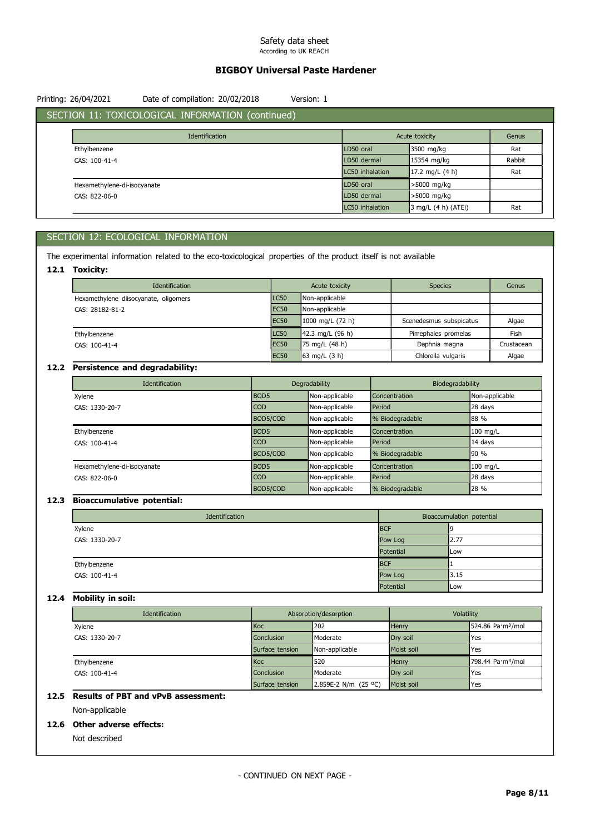# BIGBOY Universal Paste Hardener

| Printing: 26/04/2021        | Date of compilation: 20/02/2018                   | Version: 1 |                 |                     |        |
|-----------------------------|---------------------------------------------------|------------|-----------------|---------------------|--------|
|                             | SECTION 11: TOXICOLOGICAL INFORMATION (continued) |            |                 |                     |        |
|                             | Identification                                    |            |                 | Acute toxicity      | Genus  |
| Ethylbenzene                |                                                   |            | LD50 oral       | 3500 mg/kg          | Rat    |
| CAS: 100-41-4               |                                                   |            | LD50 dermal     | 15354 mg/kg         | Rabbit |
|                             |                                                   |            | LC50 inhalation | 17.2 mg/L $(4 h)$   | Rat    |
| Hexamethylene-di-isocyanate |                                                   |            | LD50 oral       | >5000 mg/kg         |        |
| CAS: 822-06-0               |                                                   |            | LD50 dermal     | >5000 mg/kg         |        |
|                             |                                                   |            | LC50 inhalation | 3 mg/L (4 h) (ATEi) | Rat    |

# SECTION 12: ECOLOGICAL INFORMATION

The experimental information related to the eco-toxicological properties of the product itself is not available

## 12.1 Toxicity:

| Identification                        |             | Acute toxicity             | <b>Species</b>          | Genus      |
|---------------------------------------|-------------|----------------------------|-------------------------|------------|
| Hexamethylene diisocyanate, oligomers | <b>LC50</b> | Non-applicable             |                         |            |
| CAS: 28182-81-2                       | <b>EC50</b> | Non-applicable             |                         |            |
|                                       | <b>EC50</b> | $1000 \text{ mg/L}$ (72 h) | Scenedesmus subspicatus | Algae      |
| Ethylbenzene                          | <b>LC50</b> | $142.3$ mg/L (96 h)        | Pimephales promelas     | Fish       |
| CAS: 100-41-4                         | <b>EC50</b> | 75 mg/L $(48 h)$           | Daphnia magna           | Crustacean |
|                                       | <b>EC50</b> | 63 mg/L $(3 h)$            | Chlorella vulgaris      | Algae      |

# 12.2 Persistence and degradability:

| Identification              |                  | Degradability  |                 | Biodegradability |
|-----------------------------|------------------|----------------|-----------------|------------------|
| Xylene                      | BOD5             | Non-applicable | Concentration   | Non-applicable   |
| CAS: 1330-20-7              | CO <sub>D</sub>  | Non-applicable | Period          | 28 days          |
|                             | BOD5/COD         | Non-applicable | % Biodegradable | 88 %             |
| Ethylbenzene                | BOD <sub>5</sub> | Non-applicable | Concentration   | 100 mg/L         |
| CAS: 100-41-4               | COD              | Non-applicable | Period          | 14 days          |
|                             | BOD5/COD         | Non-applicable | % Biodegradable | 90 %             |
| Hexamethylene-di-isocyanate | BOD5             | Non-applicable | Concentration   | 100 mg/L         |
| CAS: 822-06-0               | CO <sub>D</sub>  | Non-applicable | Period          | 28 days          |
|                             | BOD5/COD         | Non-applicable | % Biodegradable | 28 %             |

## 12.3 Bioaccumulative potential:

| Identification |            | Bioaccumulation potential |
|----------------|------------|---------------------------|
| Xylene         | <b>BCF</b> |                           |
| CAS: 1330-20-7 | Pow Log    | 2.77                      |
|                | Potential  | Low                       |
| Ethylbenzene   | <b>BCF</b> |                           |
| CAS: 100-41-4  | Pow Log    | 3.15                      |
|                | Potential  | <b>Low</b>                |

### 12.4 Mobility in soil:

| Identification |                   | Absorption/desorption | Volatility   |                                          |
|----------------|-------------------|-----------------------|--------------|------------------------------------------|
| Xylene         | Koc               | 202                   | <b>Henry</b> | $1524.86$ Pa $\cdot$ m <sup>3</sup> /mol |
| CAS: 1330-20-7 | <b>Conclusion</b> | Moderate              | Drv soil     | 'Yes                                     |
|                | Surface tension   | Non-applicable        | Moist soil   | <b>Yes</b>                               |
| Ethylbenzene   | Koc               | 520                   | <b>Henry</b> | 798.44 Pa·m <sup>3</sup> /mol            |
| CAS: 100-41-4  | <b>Conclusion</b> | Moderate              | Dry soil     | lYes                                     |
|                | Surface tension   | 2.859E-2 N/m (25 °C)  | Moist soil   | Yes                                      |

# 12.5 Results of PBT and vPvB assessment:

Non-applicable

## 12.6 Other adverse effects:

Not described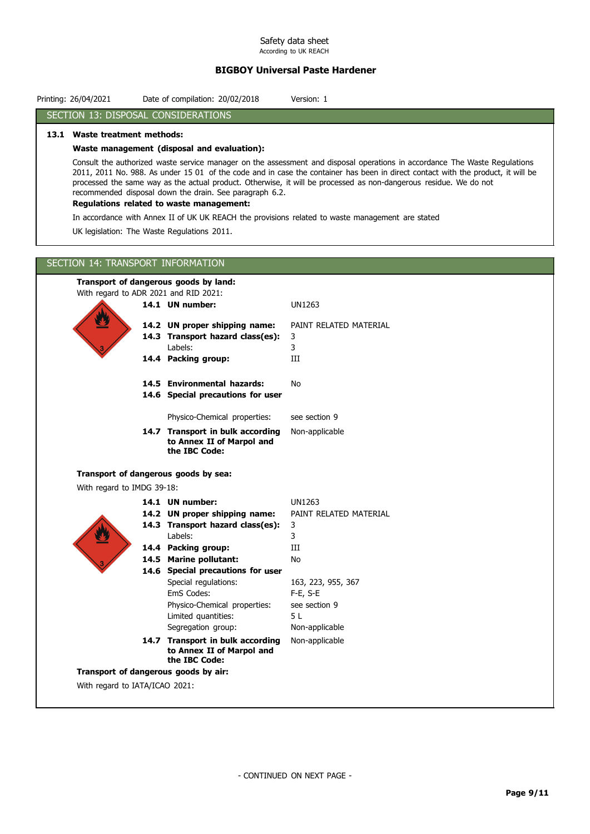# BIGBOY Universal Paste Hardener

| SECTION 13: DISPOSAL CONSIDERATIONS         |                                                                                                     |                                                                                                                                                                                                                                                                                                                                                                                     |
|---------------------------------------------|-----------------------------------------------------------------------------------------------------|-------------------------------------------------------------------------------------------------------------------------------------------------------------------------------------------------------------------------------------------------------------------------------------------------------------------------------------------------------------------------------------|
| 13.1 Waste treatment methods:               |                                                                                                     |                                                                                                                                                                                                                                                                                                                                                                                     |
|                                             | Waste management (disposal and evaluation):                                                         |                                                                                                                                                                                                                                                                                                                                                                                     |
|                                             | recommended disposal down the drain. See paragraph 6.2.<br>Regulations related to waste management: | Consult the authorized waste service manager on the assessment and disposal operations in accordance The Waste Regulations<br>2011, 2011 No. 988. As under 15 01 of the code and in case the container has been in direct contact with the product, it will be<br>processed the same way as the actual product. Otherwise, it will be processed as non-dangerous residue. We do not |
|                                             |                                                                                                     | In accordance with Annex II of UK UK REACH the provisions related to waste management are stated                                                                                                                                                                                                                                                                                    |
| UK legislation: The Waste Regulations 2011. |                                                                                                     |                                                                                                                                                                                                                                                                                                                                                                                     |
| SECTION 14: TRANSPORT INFORMATION           |                                                                                                     |                                                                                                                                                                                                                                                                                                                                                                                     |
| Transport of dangerous goods by land:       |                                                                                                     |                                                                                                                                                                                                                                                                                                                                                                                     |
| With regard to ADR 2021 and RID 2021:       |                                                                                                     |                                                                                                                                                                                                                                                                                                                                                                                     |
|                                             | 14.1 UN number:                                                                                     | UN1263                                                                                                                                                                                                                                                                                                                                                                              |
| $\overline{\mathbf{z}}$                     | 14.2 UN proper shipping name:                                                                       | PAINT RELATED MATERIAL                                                                                                                                                                                                                                                                                                                                                              |
|                                             | 14.3 Transport hazard class(es):                                                                    | 3                                                                                                                                                                                                                                                                                                                                                                                   |
|                                             | Labels:                                                                                             | 3                                                                                                                                                                                                                                                                                                                                                                                   |
|                                             | 14.4 Packing group:                                                                                 | III                                                                                                                                                                                                                                                                                                                                                                                 |
|                                             | 14.5 Environmental hazards:<br>14.6 Special precautions for user                                    | No                                                                                                                                                                                                                                                                                                                                                                                  |
|                                             |                                                                                                     |                                                                                                                                                                                                                                                                                                                                                                                     |
|                                             | Physico-Chemical properties:                                                                        | see section 9                                                                                                                                                                                                                                                                                                                                                                       |
|                                             | 14.7 Transport in bulk according<br>to Annex II of Marpol and<br>the IBC Code:                      | Non-applicable                                                                                                                                                                                                                                                                                                                                                                      |
| Transport of dangerous goods by sea:        |                                                                                                     |                                                                                                                                                                                                                                                                                                                                                                                     |
| With regard to IMDG 39-18:                  |                                                                                                     |                                                                                                                                                                                                                                                                                                                                                                                     |
|                                             | 14.1 UN number:                                                                                     | <b>UN1263</b>                                                                                                                                                                                                                                                                                                                                                                       |
|                                             | 14.2 UN proper shipping name:                                                                       | PAINT RELATED MATERIAL                                                                                                                                                                                                                                                                                                                                                              |
|                                             | 14.3 Transport hazard class(es):                                                                    | 3                                                                                                                                                                                                                                                                                                                                                                                   |
| 翌                                           | Labels:                                                                                             | 3                                                                                                                                                                                                                                                                                                                                                                                   |
|                                             | 14.4 Packing group:<br>14.5 Marine pollutant:                                                       | $\rm III$<br>No                                                                                                                                                                                                                                                                                                                                                                     |
|                                             | 14.6 Special precautions for user                                                                   |                                                                                                                                                                                                                                                                                                                                                                                     |
|                                             | Special regulations:                                                                                | 163, 223, 955, 367                                                                                                                                                                                                                                                                                                                                                                  |
|                                             | EmS Codes:                                                                                          | F-E, S-E                                                                                                                                                                                                                                                                                                                                                                            |
|                                             | Physico-Chemical properties:                                                                        | see section 9                                                                                                                                                                                                                                                                                                                                                                       |
|                                             | Limited quantities:                                                                                 | 5L                                                                                                                                                                                                                                                                                                                                                                                  |
|                                             | Segregation group:                                                                                  | Non-applicable                                                                                                                                                                                                                                                                                                                                                                      |
|                                             | 14.7 Transport in bulk according<br>to Annex II of Marpol and<br>the IBC Code:                      | Non-applicable                                                                                                                                                                                                                                                                                                                                                                      |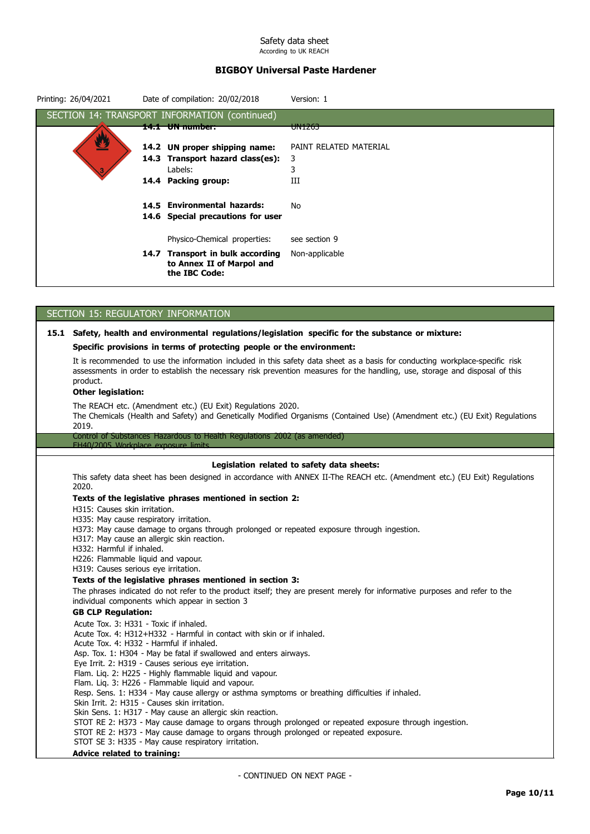# BIGBOY Universal Paste Hardener

| Printing: 26/04/2021                 | Date of compilation: 20/02/2018                                         | Version: 1                                                                                                                                                                                                                                                    |
|--------------------------------------|-------------------------------------------------------------------------|---------------------------------------------------------------------------------------------------------------------------------------------------------------------------------------------------------------------------------------------------------------|
|                                      | SECTION 14: TRANSPORT INFORMATION (continued)                           |                                                                                                                                                                                                                                                               |
|                                      | 14.1 UN number:                                                         | UN1263                                                                                                                                                                                                                                                        |
|                                      | 14.2 UN proper shipping name:                                           | PAINT RELATED MATERIAL                                                                                                                                                                                                                                        |
|                                      | 14.3 Transport hazard class(es):                                        | 3                                                                                                                                                                                                                                                             |
|                                      | Labels:                                                                 | 3                                                                                                                                                                                                                                                             |
|                                      | 14.4 Packing group:                                                     | III                                                                                                                                                                                                                                                           |
|                                      | 14.5 Environmental hazards:                                             | No                                                                                                                                                                                                                                                            |
|                                      | 14.6 Special precautions for user                                       |                                                                                                                                                                                                                                                               |
|                                      | Physico-Chemical properties:                                            | see section 9                                                                                                                                                                                                                                                 |
|                                      | 14.7 Transport in bulk according<br>to Annex II of Marpol and           | Non-applicable                                                                                                                                                                                                                                                |
|                                      | the IBC Code:                                                           |                                                                                                                                                                                                                                                               |
|                                      |                                                                         |                                                                                                                                                                                                                                                               |
|                                      | SECTION 15: REGULATORY INFORMATION                                      |                                                                                                                                                                                                                                                               |
|                                      |                                                                         |                                                                                                                                                                                                                                                               |
|                                      |                                                                         | 15.1 Safety, health and environmental regulations/legislation specific for the substance or mixture:                                                                                                                                                          |
|                                      | Specific provisions in terms of protecting people or the environment:   |                                                                                                                                                                                                                                                               |
| product.                             |                                                                         | It is recommended to use the information included in this safety data sheet as a basis for conducting workplace-specific risk<br>assessments in order to establish the necessary risk prevention measures for the handling, use, storage and disposal of this |
| <b>Other legislation:</b>            |                                                                         |                                                                                                                                                                                                                                                               |
|                                      | The REACH etc. (Amendment etc.) (EU Exit) Regulations 2020.             |                                                                                                                                                                                                                                                               |
| 2019.                                |                                                                         | The Chemicals (Health and Safety) and Genetically Modified Organisms (Contained Use) (Amendment etc.) (EU Exit) Regulations                                                                                                                                   |
| EH40/2005 Workplace exposure limits. | Control of Substances Hazardous to Health Regulations 2002 (as amended) |                                                                                                                                                                                                                                                               |
|                                      |                                                                         | Legislation related to safety data sheets:                                                                                                                                                                                                                    |

This safety data sheet has been designed in accordance with ANNEX II-The REACH etc. (Amendment etc.) (EU Exit) Regulations 2020.

### Texts of the legislative phrases mentioned in section 2:

H315: Causes skin irritation.

- H335: May cause respiratory irritation.
- H373: May cause damage to organs through prolonged or repeated exposure through ingestion.
- H317: May cause an allergic skin reaction.
- H332: Harmful if inhaled.
- H226: Flammable liquid and vapour.
- H319: Causes serious eye irritation.

## Texts of the legislative phrases mentioned in section 3:

The phrases indicated do not refer to the product itself; they are present merely for informative purposes and refer to the individual components which appear in section 3

# GB CLP Regulation:

Acute Tox. 3: H331 - Toxic if inhaled. Acute Tox. 4: H312+H332 - Harmful in contact with skin or if inhaled. Acute Tox. 4: H332 - Harmful if inhaled. Asp. Tox. 1: H304 - May be fatal if swallowed and enters airways. Eye Irrit. 2: H319 - Causes serious eye irritation. Flam. Liq. 2: H225 - Highly flammable liquid and vapour. Flam. Liq. 3: H226 - Flammable liquid and vapour. Resp. Sens. 1: H334 - May cause allergy or asthma symptoms or breathing difficulties if inhaled. Skin Irrit. 2: H315 - Causes skin irritation. Skin Sens. 1: H317 - May cause an allergic skin reaction. STOT RE 2: H373 - May cause damage to organs through prolonged or repeated exposure through ingestion. STOT RE 2: H373 - May cause damage to organs through prolonged or repeated exposure. STOT SE 3: H335 - May cause respiratory irritation.

## Advice related to training: